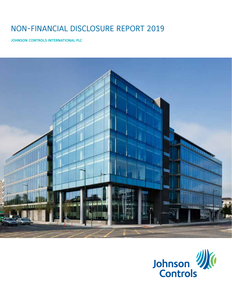# NON-FINANCIAL DISCLOSURE REPORT 2019

**JOHNSON CONTROLS INTERNATIONAL PLC**



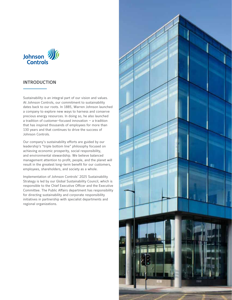

## **INTRODUCTION**

Sustainability is an integral part of our vision and values. At Johnson Controls, our commitment to sustainability dates back to our roots. In 1885, Warren Johnson launched a company to explore new ways to harness and conserve precious energy resources. In doing so, he also launched a tradition of customer-focused innovation — a tradition that has inspired thousands of employees for more than 130 years and that continues to drive the success of Johnson Controls.

Our company's sustainability efforts are guided by our leadership's "triple bottom line" philosophy focused on achieving economic prosperity, social responsibility, and environmental stewardship. We believe balanced management attention to profit, people, and the planet will result in the greatest long-term benefit for our customers, employees, shareholders, and society as a whole.

Implementation of Johnson Controls' 2025 Sustainability Strategy is led by our Global Sustainability Council, which is responsible to the Chief Executive Officer and the Executive Committee. The Public Affairs department has responsibility for directing sustainability and corporate responsibility initiatives in partnership with specialist departments and regional organizations.

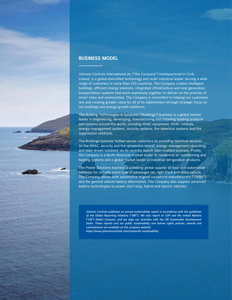

## **BUSINESS MODEL**

Johnson Controls International plc ("the Company") headquartered in Cork, Ireland, is a global diversified technology and multi-industrial leader serving a wide range of customers in more than 150 countries. The Company creates intelligent buildings, efficient energy solutions, integrated infrastructure and next generation transportation systems that work seamlessly together to deliver on the promise of smart cities and communities. The Company is committed to helping our customers win and creating greater value for all of its stakeholders through strategic focus on our buildings and energy growth platforms.

The Building Technologies & Solutions ("Buildings") business is a global market leader in engineering, developing, manufacturing and installing building products and systems around the world, including HVAC equipment, HVAC controls, energy-management systems, security systems, fire detection systems and fire suppression solutions.

The Buildings business further serves customers by providing technical services (in the HVAC, security and fire-protection space), energy-management consulting and data-driven solutions via its recently launch data-enabled business. Finally, the Company is a North American market leader in residential air conditioning and heating systems and a global market leader in industrial refrigeration products.

The Power Solutions business is a leading global supplier of lead-acid automotive batteries for virtually every type of passenger car, light truck and utility vehicle. The Company serves both automotive original equipment manufacturers ("OEMs") and the general vehicle battery aftermarket. The Company also supplies advanced battery technologies to power start-stop, hybrid and electric vehicles.

*Johnson Controls publishes an annual sustainability report in accordance with the guidelines of the Global Reporting Initiative ("GRI"). We also report to CDP and the United Nations ("UN") Global Compact, and we align our activities with the UN Sustainable Development Goals. These reports and our public sustainability and human rights policies, awards and commitments are available on the company website:* 

*https://www.johnsoncontrols.com/corporate-sustainability.*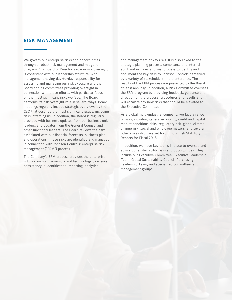# **RISK MANAGEMENT**

We govern our enterprise risks and opportunities through a robust risk management and mitigation program. Our Board of Director's role in risk oversight is consistent with our leadership structure, with management having day-to-day responsibility for assessing and managing our risk exposure and the Board and its committees providing oversight in connection with those efforts, with particular focus on the most significant risks we face. The Board performs its risk oversight role in several ways. Board meetings regularly include strategic overviews by the CEO that describe the most significant issues, including risks, affecting us. In addition, the Board is regularly provided with business updates from our business unit leaders, and updates from the General Counsel and other functional leaders. The Board reviews the risks associated with our financial forecasts, business plan and operations. These risks are identified and managed in connection with Johnson Controls' enterprise risk management ("ERM") process.

The Company's ERM process provides the enterprise with a common framework and terminology to ensure consistency in identification, reporting, analytics

and management of key risks. It is also linked to the strategic planning process, compliance and internal audit and includes a formal process to identify and document the key risks to Johnson Controls perceived by a variety of stakeholders in the enterprise. The results of the ERM process are presented to the Board at least annually. In addition, a Risk Committee oversees the ERM program by providing feedback, guidance and direction on the process, procedures and results and will escalate any new risks that should be elevated to the Executive Committee.

As a global multi-industrial company, we face a range of risks, including general economic, credit and capital market conditions risks, regulatory risk, global climate change risk, social and employee matters, and several other risks which are set forth in our Irish Statutory Reports for Fiscal 2018.

In addition, we have key teams in place to oversee and advise our sustainability risks and opportunities. They include our Executive Committee, Executive Leadership Team, Global Sustainability Council, Purchasing Leadership Team, and specialized committees and management groups.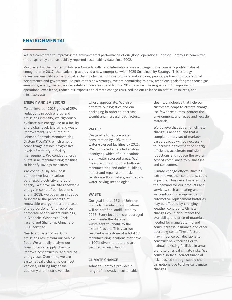## **ENVIRONMENTAL**

We are committed to improving the environmental performance of our global operations. Johnson Controls is committed to transparency and has publicly reported sustainability data since 2002.

Most recently, the merger of Johnson Controls with Tyco International was a change in our company profile material enough that in 2017, the leadership approved a new enterprise-wide 2025 Sustainability Strategy. This strategy drives sustainability across our value chain by focusing on our products and services, people, partnerships, operational performance and governance. As part of this new strategy, we are committing to new, ambitious goals for greenhouse gas emissions, energy, water, waste, safety and diverse spend from a 2017 baseline. These goals aim to improve our operational excellence, reduce our exposure to climate change risks, reduce our reliance on natural resources, and minimize costs.

## **ENERGY AND EMISSIONS**

To achieve our 2025 goals of 25% reductions in both energy and emissions intensity, we rigorously evaluate our energy use at a facility and global level. Energy and waste improvement is built into our Johnson Controls Manufacturing System ("JCMS"), which among other things defines progressive levels of maturity in facility management. We conduct energy hunts in all manufacturing facilities, to identify savings measures.

We continuously seek costcompetitive lower-carbon purchased electricity and other energy. We have on-site renewable energy in some of our locations and in 2018, we began an initiative to increase the percentage of renewable energy in our purchased energy portfolio. All three of our corporate headquarters buildings, in Glendale, Wisconsin; Cork, Ireland and Shanghai, China, are LEED certified.

Nearly a quarter of our GHG emissions result from our vehicle fleet. We annually analyze our transportation supply chain to improve cost structure and reduce energy use. Over time, we are systematically changing our fleet vehicles, utilizing higher fuel economy and electric vehicles

where appropriate. We also optimize our logistics and our packaging in order to decrease weight and increase load factors.

#### **WATER**

Our goal is to reduce water consumption by 10% at our water-stressed facilities by 2025. We conducted a detailed analysis identifying which of our locations are in water stressed areas. We measure consumption in both our manufacturing and office buildings, detect and repair water leaks, recalibrate flow meters, and deploy water-saving technologies.

#### **WASTE**

Our goal is that 25% of Johnson Controls manufacturing locations will be certified landfill-free by 2025. Every location is encouraged to eliminate the disposal of waste sent to landfill to the extent feasible. This year we reached a milestone of a total 17 manufacturing locations that have a 100% diversion rate and are certified as zero-landfill.

#### **CLIMATE CHANGE**

Johnson Controls provides a range of innovative, sustainable,

clean technologies that help our customers adapt to climate change, use fewer resources, protect the environment, and reuse and recycle materials.

We believe that action on climate change is needed, and that a complementary set of marketbased policies will be necessary to increase deployment of energy efficiency, accelerate emission reductions and reduce the overall cost of compliance to businesses and consumers.

Climate change effects, such as extreme weather conditions, could impact our business. For example, the demand for our products and services, such as heating and air conditioning equipment and automotive replacement batteries, may be affected by changing weather conditions. Climate changes could also impact the availability and price of materials needed for manufacturing and could increase insurance and other operating costs. These factors may influence our decisions to construct new facilities or to maintain existing facilities in areas prone to physical climate risks. We could also face indirect financial risks passed through supply chain disruptions due to physical climate changes.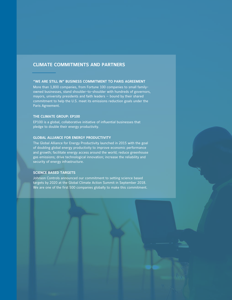# **CLIMATE COMMITMENTS AND PARTNERS**

## **"WE ARE STILL IN" BUSINESS COMMITMENT TO PARIS AGREEMENT**

More than 1,800 companies, from Fortune 100 companies to small familyowned businesses, stand shoulder-to-shoulder with hundreds of governors, mayors, university presidents and faith leaders — bound by their shared commitment to help the U.S. meet its emissions reduction goals under the Paris Agreement.

## **THE CLIMATE GROUP: EP100**

EP100 is a global, collaborative initiative of influential businesses that pledge to double their energy productivity.

## **GLOBAL ALLIANCE FOR ENERGY PRODUCTIVITY**

The Global Alliance for Energy Productivity launched in 2015 with the goal of doubling global energy productivity to improve economic performance and growth; facilitate energy access around the world; reduce greenhouse gas emissions; drive technological innovation; increase the reliability and security of energy infrastructure.

#### **SCIENCE BASED TARGETS**

Johnson Controls announced our commitment to setting science based targets by 2020 at the Global Climate Action Summit in September 2018. We are one of the first 500 companies globally to make this commitment.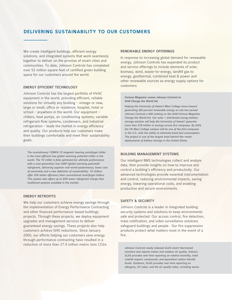# **DELIVERING SUSTAINABILITY TO OUR CUSTOMERS**

We create intelligent buildings, efficient energy solutions, and integrated systems that work seamlessly together to deliver on the promise of smart cities and communities. To date, Johnson Controls has completed over 52 million square feet of certified green building space for our customers around the world.

#### **ENERGY EFFICIENT TECHNOLOGY**

Johnson Controls has the largest portfolio of HVAC equipment in the world, providing efficient, reliable solutions for virtually any building - vintage or new, large or small, office or residence, hospital, hotel or school - anywhere in the world. Our equipment – chillers, heat pumps, air conditioning systems, variable refrigerant flow systems, condensers, and industrial refrigeration - leads the market in energy efficiency and quality. Our products help our customers make their buildings comfortable and meet their sustainability goals.

*The revolutionary YORK® YZ magnetic bearing centrifugal chiller is the most efficient low global-warming potential chiller in the world. The YZ chiller is fully optimized for ultimate performance with a next generation low-GWP (global warming potential) refrigerant, delivering superior real-world performance, lower cost of ownership and a new definition of sustainability. YZ chillers offer 35% better efficiency than conventional centrifugal chillers. This system also offers up to 60% lower refrigerant charge than traditional systems available in the market.*

## **ENERGY RETROFITS**

We help our customers achieve energy savings through the implementation of Energy Performance Contracting and other financed performance-based buildings projects. Through these projects, we deploy equipment upgrades and management services to deliver guaranteed energy savings. These projects also help customers achieve GHG reductions. Since January 2000, our efforts helping our customers save energy through performance contracting have resulted in a reduction of more than 27.9 million metric tons CO2e.

#### **RENEWABLE ENERGY OFFERINGS**

In response to increasing global demand for renewable energy, Johnson Controls has expanded its product and service offerings to include elements of solar, biomass, wind, waste-to-energy, landfill gas to energy, geothermal, combined heat & power and other renewable sources as energy supply options for customers.

#### *Fortune Magazine names Johnson Controls to 2018 Change the World list*

*Helping the University of Hawai'i Maui College move toward generating 100 percent renewable energy on site has earned Johnson Controls a #30 ranking on the 2018 Fortune Magazine Change the World list. Our solar + distributed energy battery storage solution will help the University of Hawai'i generate more than \$79 million in savings across five campuses. By 2019, the UH Maui College campus will be one of the first campuses in the U.S. with the ability to eliminate fossil fuel consumption. The project is one of the largest total behind-the-meter deployments of battery storage in the United States.* 

## **BUILDING MANAGEMENT SYSTEMS**

Our intelligent BMS technologies collect and analyze data, then provide insights on how to improve and control a building's efficiency and productivity. Our advanced technologies provide essential instrumentation and control, reducing environmental impacts, saving energy, lowering operational costs, and enabling productive and secure environments.

## **SAFETY & SECURITY**

Johnson Controls is a leader in integrated building security systems and solutions to keep environments safe and protected. Our access control, fire detection, mass notification, and video surveillance solutions safeguard buildings and people. Our fire suppression products protect what matters most in the event of a fire.

*Johnson Controls newly released GLAS smart thermostat monitors and reports indoor and outdoor air quality. Indoors, GLAS provides real-time reporting on relative humidity, total volatile organic compounds, and equivalent carbon dioxide levels. Outdoors, GLAS provides real-time reporting on allergens, UV index, and the air quality index, including ozone.*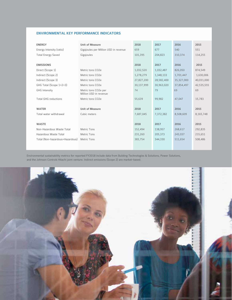#### **ENVIRONMENTAL KEY PERFORMANCE INDICATORS**

| <b>ENERGY</b>        |                                 | <b>Unit of Measure</b>                         | 2018       | 2017       | 2016       | 2015       |
|----------------------|---------------------------------|------------------------------------------------|------------|------------|------------|------------|
|                      | Energy Intensity (ratio)        | Gigajoules per Million USD in revenue          | 659        | 677        | 540        | 551        |
|                      | <b>Total Energy Saved</b>       | Gigajoules                                     | 101,395    | 204.823    | 310.374    | 114,255    |
|                      |                                 |                                                |            |            |            |            |
| <b>EMISSIONS</b>     |                                 |                                                | 2018       | 2017       | 2016       | 2015       |
| Direct (Scope 1)     |                                 | Metric tons CO2e                               | 1,032,520  | 1,032,487  | 826,050    | 874,549    |
|                      | Indirect (Scope 2)              | Metric tons CO2e                               | 1,278,279  | 1,348,133  | 1,701,447  | 1,630,006  |
|                      | Indirect (Scope 3)              | Metric tons CO2e                               | 27,827,200 | 28,582,400 | 35,327,000 | 40,031,000 |
|                      | GHG Total (Scope 1+2+3)         | Metric tons CO2e                               | 30,137,999 | 30,963,020 | 37,854,497 | 42,535,555 |
| <b>GHG</b> Intensity |                                 | Metric tons CO2e per<br>Million USD in revenue | 74         | 79         | 69         | 69         |
|                      | <b>Total GHG reductions</b>     | Metric tons CO2e                               | 55,639     | 99,982     | 47,047     | 15,783     |
|                      |                                 |                                                |            |            |            |            |
| <b>WATER</b>         |                                 | <b>Unit of Measure</b>                         | 2018       | 2017       | 2016       | 2015       |
|                      | Total water withdrawal          | Cubic meters                                   | 7,687,045  | 7,372,382  | 8,508,609  | 8,165,748  |
|                      |                                 |                                                |            |            |            |            |
| <b>WASTE</b>         |                                 |                                                | 2018       | 2017       | 2016       | 2015       |
|                      | Non-Hazardous Waste Total       | <b>Metric Tons</b>                             | 152,494    | 138,957    | 268,617    | 292,835    |
|                      | Hazardous Waste Total           | <b>Metric Tons</b>                             | 231,260    | 205,373    | 243,037    | 215,651    |
|                      | Total (Non-hazardous+Hazardous) | <b>Metric Tons</b>                             | 383,754    | 344,330    | 511,654    | 508,486    |
|                      |                                 |                                                |            |            |            |            |
|                      |                                 |                                                |            |            |            |            |

Environmental sustainability metrics for reported FY2018 include data from Building Technologies & Solutions, Power Solutions, and the Johnson Controls Hitachi joint venture. Indirect emissions (Scope 2) are market-based.

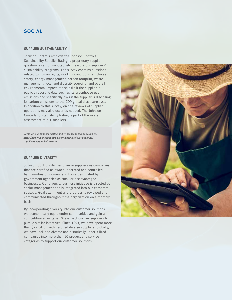# **SOCIAL**

#### **SUPPLIER SUSTAINABILITY**

Johnson Controls employs the Johnson Controls Sustainability Supplier Rating, a proprietary supplier questionnaire, to quantitatively measure our suppliers' sustainability programs. The survey contains questions related to human rights, working conditions, employee safety, energy management, carbon footprint, waste management, local and diversity sourcing, and overall environmental impact. It also asks if the supplier is publicly reporting data such as its greenhouse gas emissions and specifically asks if the supplier is disclosing its carbon emissions to the CDP global disclosure system. In addition to this survey, on site reviews of supplier operations may also occur as needed. The Johnson Controls' Sustainability Rating is part of the overall assessment of our suppliers.

*Detail on our supplier sustainability program can be found at: https://www.johnsoncontrols.com/suppliers/sustainability/ supplier-sustainability-rating*

## **SUPPLIER DIVERSITY**

Johnson Controls defines diverse suppliers as companies that are certified as owned, operated and controlled by minorities or women, and those designated by government agencies as small or disadvantaged businesses. Our diversity business initiative is directed by senior management and is integrated into our corporate strategy. Goal attainment and progress is reviewed and communicated throughout the organization on a monthly basis.

By incorporating diversity into our customer solutions, we economically equip entire communities and gain a competitive advantage. We expect our key suppliers to pursue similar initiatives. Since 1993, we have spent more than \$22 billion with certified diverse suppliers. Globally, we have included diverse and historically underutilized companies into more than 50 product and service categories to support our customer solutions.

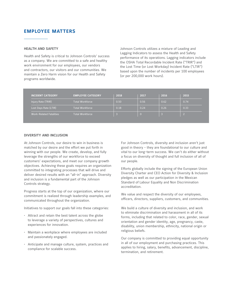# **EMPLOYEE MATTERS**

#### **HEALTH AND SAFETY**

Health and Safety is critical to Johnson Controls' success as a company. We are committed to a safe and healthy work environment for our employees, our vendors and contractors, our visitors and our communities. We maintain a Zero Harm vision for our Health and Safety programs worldwide.

Johnson Controls utilizes a mixture of Leading and Lagging Indicators to assess the Health and Safety performance of its operations. Lagging indicators include the OSHA Total Recordable Incident Rate ("TRIR") and the Lost Time (or Lost Workday) Incident Rate ("LTIR") based upon the number of incidents per 100 employees (or per 200,000 work hours).

| <b>INCIDENT CATEGORY</b>       | <b>EMPLOYEE CATEGORY</b> | 2018 | 2017     | 2016 | 2015 |
|--------------------------------|--------------------------|------|----------|------|------|
| Injury Rate (TRIR)             | <b>Total Workforce</b>   | 0.50 | 0.56     | 0.62 | 0.74 |
| Lost Days Rate (LTIR)          | <b>Total Workforce</b>   | 0.18 | 0.24     | 0.26 | 0.33 |
| <b>Work-Related Fatalities</b> | <b>Total Workforce</b>   |      | $\Omega$ | B    |      |

#### **DIVERSITY AND INCLUSION**

At Johnson Controls, our desire to win in business is matched by our desire and the effort we put forth in winning with our people. We create, develop, and fully leverage the strengths of our workforce to exceed customers' expectations, and meet our company growth objectives. Achieving these goals requires an organization committed to integrating processes that will drive and deliver desired results with an "all-in" approach. Diversity and inclusion is a fundamental part of the Johnson Controls strategy.

Progress starts at the top of our organization, where our commitment is realized through leadership examples, and communicated throughout the organization.

Initiatives to support our goals fall into these categories:

- Attract and retain the best talent across the globe to leverage a variety of perspectives, cultures and experiences for innovation.
- Maintain a workplace where employees are included and passionately engaged.
- Anticipate and manage culture, system, practices and compliance for scalable success.

For Johnson Controls, diversity and inclusion aren't just good in theory - they are foundational to our culture and vital to our long-term success. We can't do either without a focus on diversity of thought and full inclusion of all of our people.

Efforts globally include the signing of the European Union Diversity Charter and CEO Action for Diversity & Inclusion pledges as well as our participation in the Mexican Standard of Labour Equality and Non Discrimination accreditation.

We value and respect the diversity of our employees, officers, directors, suppliers, customers, and communities.

We build a culture of diversity and inclusion, and work to eliminate discrimination and harassment in all of its forms, including that related to color, race, gender, sexual orientation and gender identity, age, pregnancy, caste, disability, union membership, ethnicity, national origin or religious beliefs.

Our company is committed to providing equal opportunity in all of our employment and purchasing practices. This applies to hiring, salary, benefits, advancement, discipline, termination, and retirement.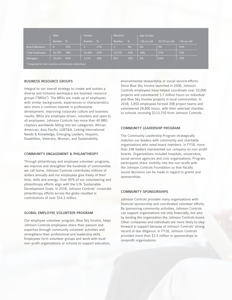|                                                               | <b>Male</b> |      | Female         |      | Minority*     |      | Age Groups  |               |             |
|---------------------------------------------------------------|-------------|------|----------------|------|---------------|------|-------------|---------------|-------------|
|                                                               | Number      | $\%$ | <b>Number</b>  | $\%$ | <b>Number</b> | $\%$ | <30 yrs old | 30-50 yrs old | >50 yrs old |
| <b>Board Members</b>                                          | 8           | 73%  | $\overline{3}$ | 27%  |               | 9%   | 0%          | 9%            | 91%         |
| <b>Total Employees</b>                                        | 92,705      | 78%  | 25,460         | 22%  | 12,375        | 22%  | 18%         | 57%           | 25%         |
| <b>Managers</b>                                               | 10,250      | 83%  | 2,174          | 18%  | 825           | 18%  | 3%          | 64%           | 33%         |
| * Designated by their countries as historically underutilized |             |      |                |      |               |      |             |               |             |

#### **BUSINESS RESOURCE GROUPS**

Integral to our overall strategy to create and sustain a diverse and inclusive workspace are business resource groups ("BRGs"). The BRGs are made up of employees with similar backgrounds, experiences or characteristics who share a common interest in professional development, improving corporate culture and business results. BRGs are employee driven, voluntary and open to all employees. Johnson Controls has more than 40 BRG chapters worldwide falling into ten categories: African American, Asia Pacific, LGBT&A, Linking International Needs & Knowledge, Emerging Leaders, Hispanic, Disabilities, Veterans, Women, and Sustainability.

#### **COMMUNITY ENGAGEMENT & PHILANTHROPY**

Through philanthropy and employee volunteer programs, we improve and strengthen the hundreds of communities we call home. Johnson Controls contributes millions of dollars annually and our employees give freely of their time, skills and energy. Over 85% of our volunteering and philanthropy efforts align with the U.N. Sustainable Development Goals. In 2018, Johnson Controls' corporate philanthropy efforts across the globe resulted in contributions of over \$14.3 million.

#### **GLOBAL EMPLOYEE VOLUNTEER PROGRAM**

Our employee volunteer program, Blue Sky Involve, helps Johnson Controls employees share their passion and expertise through community volunteer activities and strengthens their professional and leadership skills. Employees form volunteer groups and work with local non-profit organizations or schools to support education,

environmental stewardship or social service efforts. Since Blue Sky Involve launched in 2006, Johnson Controls employees have helped coordinate over 10,000 projects and volunteered 1.7 million hours on individual and Blue Sky Involve projects in local communities. In 2018, 3,850 employees formed 398 project teams and volunteered 28,800 hours, with their selected charities or schools receiving \$113,750 from Johnson Controls.

#### **COMMUNITY LEADERSHIP PROGRAM**

The Community Leadership Program strategically matches our leaders with community and charitable organizations who need board members. In FY18, more than 248 leaders represented our company on non-profit boards. Organizations included hospitals, universities, social service agencies and civic organizations. Program participants share visibility into the non-profit with the Johnson Controls Foundation so that fiscally sound decisions can be made in regard to grants and sponsorships.

#### **COMMUNITY SPONSORSHIPS**

Johnson Controls provides many organizations with financial sponsorship and coordinated volunteer efforts. By sponsoring community activities, Johnson Controls can support organizations not only financially, but also by lending the organization the Johnson Controls brand. Other companies and individuals are more likely to step forward in support because of Johnson Controls' strong record of due diligence. In FY18, Johnson Controls provided more than \$1.5 million in sponsorships to nonprofit organizations.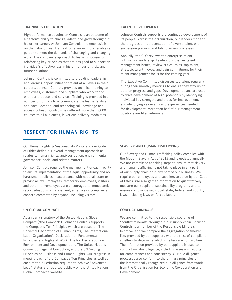#### **TRAINING & EDUCATION**

High performance at Johnson Controls is an outcome of a person's ability to change, adapt, and grow throughout his or her career. At Johnson Controls, the emphasis is on the value of real-life, real-time learning that enables a person to meet the demands of challenging and changing work. The company's approach to learning focuses on reinforcing key principles that are designed to support an individual's effectiveness in his or her current job, and in future situations.

Johnson Controls is committed to providing leadership and learning opportunities for talent at all levels in their careers. Johnson Controls provides technical training to employees, customers and suppliers who work for or with our products and services. Training is provided in a number of formats to accommodate the learner's style and pace, location, and technological knowledge and access. Johnson Controls has offered more than 3,000 courses to all audiences, in various delivery modalities.

# **RESPECT FOR HUMAN RIGHTS**

Our Human Rights & Sustainability Policy and our Code of Ethics define our overall management approach as relates to human rights, anti-corruption, environmental, governance, social and related matters.

Johnson Controls requires the management of each facility to ensure implementation of the equal opportunity and no harassment policies in accordance with national, state or provincial law. Employees, temporary employees, visitors and other non-employees are encouraged to immediately report situations of harassment, an ethics or compliance concern committed by anyone, including visitors.

#### **UN GLOBAL COMPACT**

As an early signatory of the United Nations Global Compact ("the Compact"), Johnson Controls supports the Compact's Ten Principles which are based on The Universal Declaration of Human Rights, The International Labor Organization's Declaration on Fundamental Principles and Rights at Work, The Rio Declaration on Environment and Development and The United Nations Convention against Corruption, and the UN Guiding Principles on Business and Human Rights. Our progress in meeting each of the Compact's Ten Principles as well as each of the 21 criterion required to achieve "Advanced Level" status are reported publicly on the United Nations Global Compact's website.

#### **TALENT DEVELOPMENT**

Johnson Controls supports the continued development of its people. Across the organization, our leaders monitor the progress on representation of diverse talent with succession planning and talent review processes.

Annually, the CEO reviews top enterprise talent with senior leadership. Leaders discuss key talent management issues, review critical roles, top talent, strategic talent moves, and gain commitment for their talent management focus for the coming year.

The Executive Committee discusses top talent regularly during their monthly meetings to ensure they stay up-todate on progress and gaps. Development plans are used to drive development of high-potentials by identifying individual key strengths and areas for improvement, and identifying key events and experiences needed for development. More than half of our management positions are filled internally.

#### **SLAVERY AND HUMAN TRAFFICKING**

Our Slavery and Human Trafficking policy complies with the Modern Slavery Act of 2015 and is updated annually. We are committed to taking steps to ensure that slavery and human trafficking is not taking place in any part of our supply chain or in any part of our business. We require our employees and suppliers to abide by our Code of Ethics. We also gather information to quantitatively measure our suppliers' sustainability programs and to ensure compliance with local, state, federal and country laws, including laws on forced labor.

#### **CONFLICT MINERALS**

We are committed to the responsible sourcing of "conflict minerals" throughout our supply chain. Johnson Controls is a member of the Responsible Minerals Initiative, and we compare the aggregation of smelter lists provided by our suppliers with their list of compliant smelters to determine which smelters are conflict free. The information provided by our suppliers is used to conduct our due diligence, including assessing reports for completeness and consistency. Our due diligence processes also conform to the primary principles of the internationally recognized due diligence framework from the Organisation for Economic Co-operation and Development.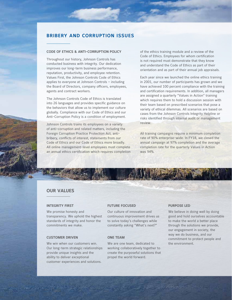# **BRIBERY AND CORRUPTION ISSUES**

## **CODE OF ETHICS & ANTI-CORRUPTION POLICY**

Throughout our history, Johnson Controls has conducted business with integrity. Our dedication improves our long-term business performance, reputation, productivity, and employee retention. Values First, the Johnson Controls Code of Ethics applies to everyone at Johnson Controls – including the Board of Directors, company officers, employees, agents and contract workers.

The Johnson Controls Code of Ethics is translated into 26 languages and provides specific guidance on the behaviors that allow us to implement our culture globally. Compliance with our Code of Ethics and our Anti-Corruption Policy is a condition of employment.

Johnson Controls trains its employees on a variety of anti-corruption and related matters, including the Foreign Corruption Practice Protection Act, antibribery, conflicts of interest, statements from our Code of Ethics and our Code of Ethics more broadly. All online management-level employees must complete an annual ethics certification which requires completion of the ethics training module and a review of the Code of Ethics. Employees for whom certification is not required must demonstrate that they know and understand the Code of Ethics as part of their orientation and as part of their annual job appraisals.

Each year since we launched the online ethics training in 2001, our number of participants has grown and we have achieved 100 percent compliance with the training and certification requirements. In addition, all managers are assigned a quarterly "Values in Action" training which requires them to hold a discussion session with their team based on prescribed scenarios that pose a variety of ethical dilemmas. All scenarios are based on cases from the Johnson Controls Integrity Helpline or risks identified through internal audit or management review.

All training campaigns require a minimum completion rate of 90% enterprise-wide. In FY18, we closed the annual campaign at 97% completion and the average completion rate for the quarterly Values in Action was 94%.

## **OUR VALUES**

#### **INTEGRITY FIRST**

We promise honesty and transparency. We uphold the highest standards of integrity and honor the commitments we make.

## **CUSTOMER DRIVEN**

We win when our customers win. Our long-term strategic relationships provide unique insights and the ability to deliver exceptional customer experiences and solutions.

## **FUTURE FOCUSED**

Our culture of innovation and continuous improvement drives us to solve today's challenges while constantly asking "What's next?"

## **ONE TEAM**

We are one team, dedicated to working collaboratively together to create the purposeful solutions that propel the world forward.

## **PURPOSE LED**

We believe in doing well by doing good and hold ourselves accountable to make the world a better place through the solutions we provide, our engagement in society, the way we do business, and our commitment to protect people and the environment.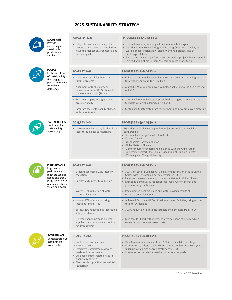# **2025 SUSTAINABILITY STRATEGY**

• Integrate sustainable design for products and services identified to

GOALS BY 2025 PROGRESS BY END OF FY18



# SOLUTIONS

Provide increasingly sustainable products and services



PEOPLE Foster a culture of sustainability that engages people who want to make a difference

PARTNERSHIPS Lead in global sustainability partnerships

| products and services identified to<br>have the highest environmental and<br>social impact                | • Introduced the York YZ Magnetic Bearing Centrifugal Chiller, the<br>world's most-efficient low-global warming potential line of<br>centrifugal chillers<br>• Since January 2000, performance contracting projects have resulted<br>in a reduction of more than 27.9 million metric tons CO2e                                                                                              |  |  |  |  |
|-----------------------------------------------------------------------------------------------------------|---------------------------------------------------------------------------------------------------------------------------------------------------------------------------------------------------------------------------------------------------------------------------------------------------------------------------------------------------------------------------------------------|--|--|--|--|
|                                                                                                           | PROGRESS BY END OF FY18                                                                                                                                                                                                                                                                                                                                                                     |  |  |  |  |
| <b>GOALS BY 2025</b>                                                                                      |                                                                                                                                                                                                                                                                                                                                                                                             |  |  |  |  |
| Volunteer 2.5 million hours on<br>20,000 projects                                                         | · In FY18, 3,850 employees volunteered 28,800 hours, bringing our<br>total volunteer hours to 1.7 million                                                                                                                                                                                                                                                                                   |  |  |  |  |
| Alignment of 80% volunteer<br>$\bullet$<br>activities with the UN Sustainable<br>Development Goals (SDGs) | • Aligned 88% of our employee volunteer activities to the SDGs by end<br>of FY18                                                                                                                                                                                                                                                                                                            |  |  |  |  |
| Establish employee engagement<br>$\bullet$<br>groups globally                                             | • Sustainability employee group established at global headquarters in<br>Glendale with global launch in Q1 FY19                                                                                                                                                                                                                                                                             |  |  |  |  |
| Integrate the sustainability strategy<br>$\bullet$<br>with recruitment                                    | • Sustainability integrated into recruitment and new employee materials                                                                                                                                                                                                                                                                                                                     |  |  |  |  |
|                                                                                                           |                                                                                                                                                                                                                                                                                                                                                                                             |  |  |  |  |
| <b>GOALS BY 2025</b>                                                                                      | <b>PROGRESS BY END OF FY18</b>                                                                                                                                                                                                                                                                                                                                                              |  |  |  |  |
| Increase our impact by leading in at<br>$\bullet$<br>least three global partnerships                      | Exceeded target by leading in five major strategic sustainability<br>partnerships:<br>Sustainable Energy for All (SEforALL)<br>Cooling for All<br>$\bullet$<br>Responsible Battery Coalition<br>• Global Battery Alliance<br>• Memorandum of Understanding signed with the China Green<br>University Network, the China Association of Building Energy<br>Efficiency and Tongji University. |  |  |  |  |

• Product inventory and impact analysis in initial stages



PERFORMANCE Improve our performance to meet stakeholder needs and track progress towards our sustainability vision and goals

**GOVERNANCE** Demonstrate our commitment from the top

leadership

| <b>GOALS BY 2025*</b>                                                                                | <b>PROGRESS BY END OF FY18</b>                                                                                                                                                      |  |  |  |  |
|------------------------------------------------------------------------------------------------------|-------------------------------------------------------------------------------------------------------------------------------------------------------------------------------------|--|--|--|--|
| Greenhouse gases: 25% intensity<br>$\bullet$<br>reduction                                            | • 100% off-set of Buildings GHG emissions for major sites in United<br>States with Renewable Energy Certificates (RECs)                                                             |  |  |  |  |
| Energy: 25% intensity reduction                                                                      | Launched renewable energy strategy initiative in United States<br>$\bullet$<br>Exceeded annual 2.5% reduction goal for FY18 for energy and<br>$\bullet$<br>greenhouse gas intensity |  |  |  |  |
| Water: 10% reduction at water-<br>stressed locations                                                 | Implemented best practices and water savings efforts at<br>$\bullet$<br>water stressed locations                                                                                    |  |  |  |  |
| Waste: 25% of manufacturing<br>$\bullet$<br>locations landfill-free                                  | • Achieved Zero Landfill Certification in seven facilities, bringing the<br>total to 17 facilities                                                                                  |  |  |  |  |
| Safety: 25% reduction in recordable<br>safety incidents                                              | • 10.7% reduction in Total Recordable Incident Rate from FY17                                                                                                                       |  |  |  |  |
| Diverse spend: increase diverse<br>$\bullet$<br>supplier spend at a rate exceeding<br>revenue growth | • Met goal for FY18 with increased diverse spend at 6.12%, which<br>exceeded our revenue growth rate                                                                                |  |  |  |  |
|                                                                                                      |                                                                                                                                                                                     |  |  |  |  |



#### GOALS BY 2025 PROGRESS BY END OF FY18 Formalize the sustainability governance process: • Executive Committee review of goals and performance • Disclose climate-related risks in financial reporting • New policies/ practices to maintain • Development and launch of new 2025 Sustainability Strategy • Committed to adopt science-based targets within the next 2 years (aligning with a two degree strategy by 2030) • Integrated sustainability metrics into executive goals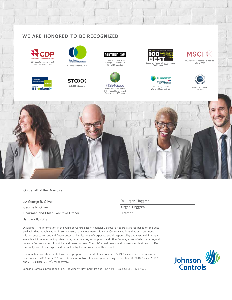# **WE ARE HONORED TO BE RECOGNIZED**









**STOXX** Global ESG Leaders Global ESG Leaders



Fortune Magazine, 2018



TH SENIOUS Euronext Vigeo Eiris<br>
FTSE4Good Index Series The Series World 120 and U.S. 50 UN Global Compact 100 Index<br>
TEC Purcell Environment FTSE Russell Environment Opportunities 100 Index FTSE Russell Environment Opportunities 100 Index **FTSE4Good Index Series** 







**MSCI**<sup></sup>

MSCI Socially Responsible Indexes, MSCI Socially Responsible Indexes



UN Global Compact 100 Index



On behalf of the Directors

/s/ George R. Oliver George R. Oliver Chairman and Chief Executive Officer January 8, 2019

/s/ Jürgen Tinggren Jürgen Tinggren Director

Disclaimer: The information in the Johnson Controls Non-Financial Disclosure Report is shared based on the best available data at publication. In some cases, data is estimated. Johnson Controls cautions that our statements with respect to current and future potential implications of corporate social responsibility and sustainability topics are subject to numerous important risks, uncertainties, assumptions and other factors, some of which are beyond Johnson Controls' control, which could cause Johnson Controls' actual results and business implications to differ materially from those expressed or implied by the information in this report.

The non-financial statements have been prepared in United States dollars ("USD"). Unless otherwise indicated, references to 2018 and 2017 are to Johnson Control's financial years ending September 30, 2018 ("fiscal 2018") and 2017 ("fiscal 2017"), respectively.



Johnson Controls International plc, One Albert Quay, Cork, Ireland T12 X8N6 Call: +353 21 423 5000